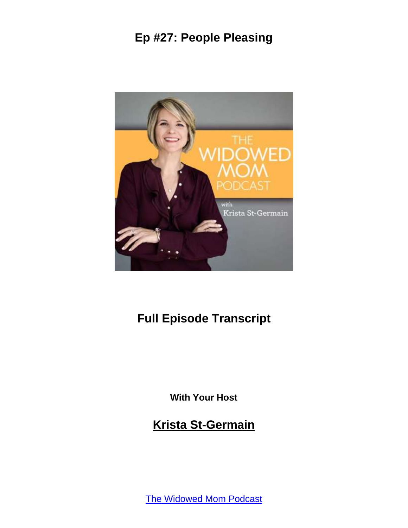

# **Full Episode Transcript**

**With Your Host**

**Krista St-Germain**

[The Widowed Mom Podcast](https://coachingwithkrista.com/podcast)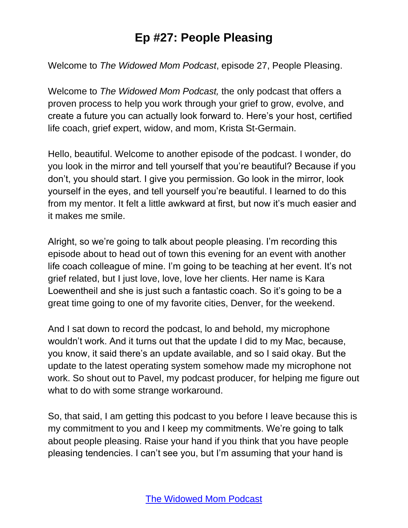Welcome to *The Widowed Mom Podcast*, episode 27, People Pleasing.

Welcome to *The Widowed Mom Podcast,* the only podcast that offers a proven process to help you work through your grief to grow, evolve, and create a future you can actually look forward to. Here's your host, certified life coach, grief expert, widow, and mom, Krista St-Germain.

Hello, beautiful. Welcome to another episode of the podcast. I wonder, do you look in the mirror and tell yourself that you're beautiful? Because if you don't, you should start. I give you permission. Go look in the mirror, look yourself in the eyes, and tell yourself you're beautiful. I learned to do this from my mentor. It felt a little awkward at first, but now it's much easier and it makes me smile.

Alright, so we're going to talk about people pleasing. I'm recording this episode about to head out of town this evening for an event with another life coach colleague of mine. I'm going to be teaching at her event. It's not grief related, but I just love, love, love her clients. Her name is Kara Loewentheil and she is just such a fantastic coach. So it's going to be a great time going to one of my favorite cities, Denver, for the weekend.

And I sat down to record the podcast, lo and behold, my microphone wouldn't work. And it turns out that the update I did to my Mac, because, you know, it said there's an update available, and so I said okay. But the update to the latest operating system somehow made my microphone not work. So shout out to Pavel, my podcast producer, for helping me figure out what to do with some strange workaround.

So, that said, I am getting this podcast to you before I leave because this is my commitment to you and I keep my commitments. We're going to talk about people pleasing. Raise your hand if you think that you have people pleasing tendencies. I can't see you, but I'm assuming that your hand is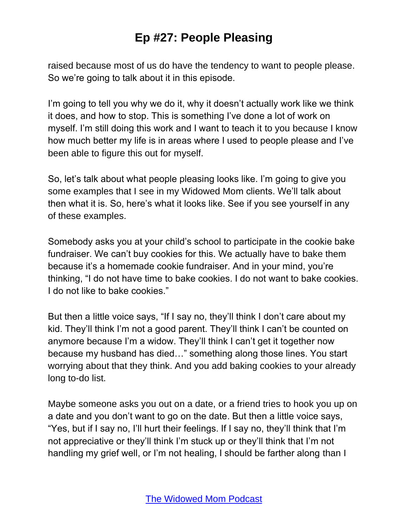raised because most of us do have the tendency to want to people please. So we're going to talk about it in this episode.

I'm going to tell you why we do it, why it doesn't actually work like we think it does, and how to stop. This is something I've done a lot of work on myself. I'm still doing this work and I want to teach it to you because I know how much better my life is in areas where I used to people please and I've been able to figure this out for myself.

So, let's talk about what people pleasing looks like. I'm going to give you some examples that I see in my Widowed Mom clients. We'll talk about then what it is. So, here's what it looks like. See if you see yourself in any of these examples.

Somebody asks you at your child's school to participate in the cookie bake fundraiser. We can't buy cookies for this. We actually have to bake them because it's a homemade cookie fundraiser. And in your mind, you're thinking, "I do not have time to bake cookies. I do not want to bake cookies. I do not like to bake cookies."

But then a little voice says, "If I say no, they'll think I don't care about my kid. They'll think I'm not a good parent. They'll think I can't be counted on anymore because I'm a widow. They'll think I can't get it together now because my husband has died…" something along those lines. You start worrying about that they think. And you add baking cookies to your already long to-do list.

Maybe someone asks you out on a date, or a friend tries to hook you up on a date and you don't want to go on the date. But then a little voice says, "Yes, but if I say no, I'll hurt their feelings. If I say no, they'll think that I'm not appreciative or they'll think I'm stuck up or they'll think that I'm not handling my grief well, or I'm not healing, I should be farther along than I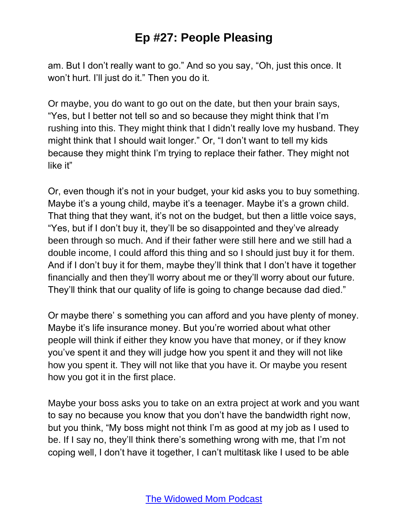am. But I don't really want to go." And so you say, "Oh, just this once. It won't hurt. I'll just do it." Then you do it.

Or maybe, you do want to go out on the date, but then your brain says, "Yes, but I better not tell so and so because they might think that I'm rushing into this. They might think that I didn't really love my husband. They might think that I should wait longer." Or, "I don't want to tell my kids because they might think I'm trying to replace their father. They might not like it"

Or, even though it's not in your budget, your kid asks you to buy something. Maybe it's a young child, maybe it's a teenager. Maybe it's a grown child. That thing that they want, it's not on the budget, but then a little voice says, "Yes, but if I don't buy it, they'll be so disappointed and they've already been through so much. And if their father were still here and we still had a double income, I could afford this thing and so I should just buy it for them. And if I don't buy it for them, maybe they'll think that I don't have it together financially and then they'll worry about me or they'll worry about our future. They'll think that our quality of life is going to change because dad died."

Or maybe there' s something you can afford and you have plenty of money. Maybe it's life insurance money. But you're worried about what other people will think if either they know you have that money, or if they know you've spent it and they will judge how you spent it and they will not like how you spent it. They will not like that you have it. Or maybe you resent how you got it in the first place.

Maybe your boss asks you to take on an extra project at work and you want to say no because you know that you don't have the bandwidth right now, but you think, "My boss might not think I'm as good at my job as I used to be. If I say no, they'll think there's something wrong with me, that I'm not coping well, I don't have it together, I can't multitask like I used to be able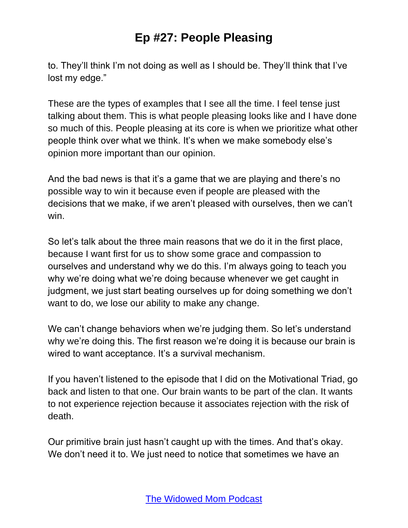to. They'll think I'm not doing as well as I should be. They'll think that I've lost my edge."

These are the types of examples that I see all the time. I feel tense just talking about them. This is what people pleasing looks like and I have done so much of this. People pleasing at its core is when we prioritize what other people think over what we think. It's when we make somebody else's opinion more important than our opinion.

And the bad news is that it's a game that we are playing and there's no possible way to win it because even if people are pleased with the decisions that we make, if we aren't pleased with ourselves, then we can't win.

So let's talk about the three main reasons that we do it in the first place, because I want first for us to show some grace and compassion to ourselves and understand why we do this. I'm always going to teach you why we're doing what we're doing because whenever we get caught in judgment, we just start beating ourselves up for doing something we don't want to do, we lose our ability to make any change.

We can't change behaviors when we're judging them. So let's understand why we're doing this. The first reason we're doing it is because our brain is wired to want acceptance. It's a survival mechanism.

If you haven't listened to the episode that I did on the Motivational Triad, go back and listen to that one. Our brain wants to be part of the clan. It wants to not experience rejection because it associates rejection with the risk of death.

Our primitive brain just hasn't caught up with the times. And that's okay. We don't need it to. We just need to notice that sometimes we have an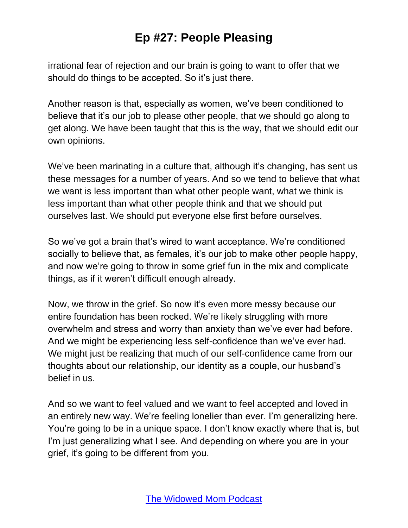irrational fear of rejection and our brain is going to want to offer that we should do things to be accepted. So it's just there.

Another reason is that, especially as women, we've been conditioned to believe that it's our job to please other people, that we should go along to get along. We have been taught that this is the way, that we should edit our own opinions.

We've been marinating in a culture that, although it's changing, has sent us these messages for a number of years. And so we tend to believe that what we want is less important than what other people want, what we think is less important than what other people think and that we should put ourselves last. We should put everyone else first before ourselves.

So we've got a brain that's wired to want acceptance. We're conditioned socially to believe that, as females, it's our job to make other people happy, and now we're going to throw in some grief fun in the mix and complicate things, as if it weren't difficult enough already.

Now, we throw in the grief. So now it's even more messy because our entire foundation has been rocked. We're likely struggling with more overwhelm and stress and worry than anxiety than we've ever had before. And we might be experiencing less self-confidence than we've ever had. We might just be realizing that much of our self-confidence came from our thoughts about our relationship, our identity as a couple, our husband's belief in us.

And so we want to feel valued and we want to feel accepted and loved in an entirely new way. We're feeling lonelier than ever. I'm generalizing here. You're going to be in a unique space. I don't know exactly where that is, but I'm just generalizing what I see. And depending on where you are in your grief, it's going to be different from you.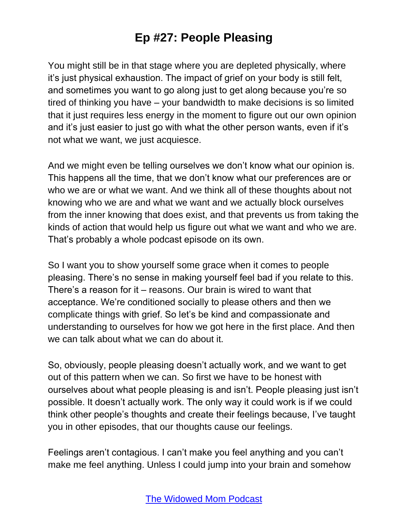You might still be in that stage where you are depleted physically, where it's just physical exhaustion. The impact of grief on your body is still felt, and sometimes you want to go along just to get along because you're so tired of thinking you have – your bandwidth to make decisions is so limited that it just requires less energy in the moment to figure out our own opinion and it's just easier to just go with what the other person wants, even if it's not what we want, we just acquiesce.

And we might even be telling ourselves we don't know what our opinion is. This happens all the time, that we don't know what our preferences are or who we are or what we want. And we think all of these thoughts about not knowing who we are and what we want and we actually block ourselves from the inner knowing that does exist, and that prevents us from taking the kinds of action that would help us figure out what we want and who we are. That's probably a whole podcast episode on its own.

So I want you to show yourself some grace when it comes to people pleasing. There's no sense in making yourself feel bad if you relate to this. There's a reason for it – reasons. Our brain is wired to want that acceptance. We're conditioned socially to please others and then we complicate things with grief. So let's be kind and compassionate and understanding to ourselves for how we got here in the first place. And then we can talk about what we can do about it.

So, obviously, people pleasing doesn't actually work, and we want to get out of this pattern when we can. So first we have to be honest with ourselves about what people pleasing is and isn't. People pleasing just isn't possible. It doesn't actually work. The only way it could work is if we could think other people's thoughts and create their feelings because, I've taught you in other episodes, that our thoughts cause our feelings.

Feelings aren't contagious. I can't make you feel anything and you can't make me feel anything. Unless I could jump into your brain and somehow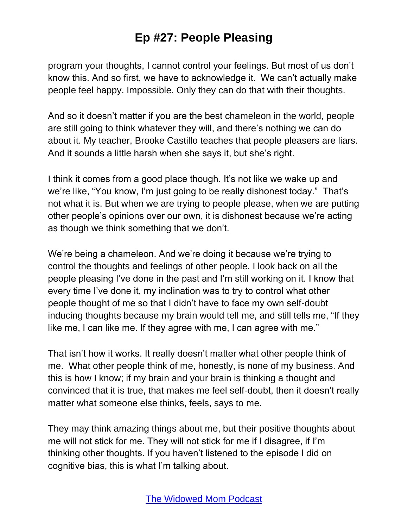program your thoughts, I cannot control your feelings. But most of us don't know this. And so first, we have to acknowledge it. We can't actually make people feel happy. Impossible. Only they can do that with their thoughts.

And so it doesn't matter if you are the best chameleon in the world, people are still going to think whatever they will, and there's nothing we can do about it. My teacher, Brooke Castillo teaches that people pleasers are liars. And it sounds a little harsh when she says it, but she's right.

I think it comes from a good place though. It's not like we wake up and we're like, "You know, I'm just going to be really dishonest today." That's not what it is. But when we are trying to people please, when we are putting other people's opinions over our own, it is dishonest because we're acting as though we think something that we don't.

We're being a chameleon. And we're doing it because we're trying to control the thoughts and feelings of other people. I look back on all the people pleasing I've done in the past and I'm still working on it. I know that every time I've done it, my inclination was to try to control what other people thought of me so that I didn't have to face my own self-doubt inducing thoughts because my brain would tell me, and still tells me, "If they like me, I can like me. If they agree with me, I can agree with me."

That isn't how it works. It really doesn't matter what other people think of me. What other people think of me, honestly, is none of my business. And this is how I know; if my brain and your brain is thinking a thought and convinced that it is true, that makes me feel self-doubt, then it doesn't really matter what someone else thinks, feels, says to me.

They may think amazing things about me, but their positive thoughts about me will not stick for me. They will not stick for me if I disagree, if I'm thinking other thoughts. If you haven't listened to the episode I did on cognitive bias, this is what I'm talking about.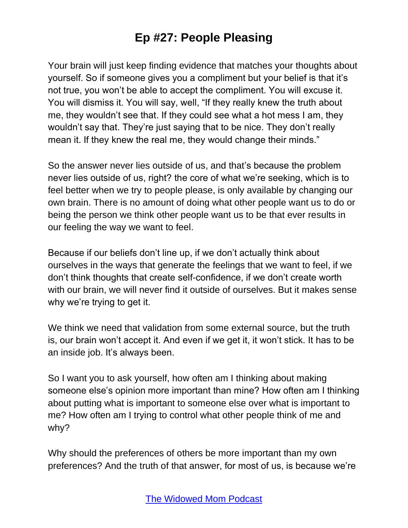Your brain will just keep finding evidence that matches your thoughts about yourself. So if someone gives you a compliment but your belief is that it's not true, you won't be able to accept the compliment. You will excuse it. You will dismiss it. You will say, well, "If they really knew the truth about me, they wouldn't see that. If they could see what a hot mess I am, they wouldn't say that. They're just saying that to be nice. They don't really mean it. If they knew the real me, they would change their minds."

So the answer never lies outside of us, and that's because the problem never lies outside of us, right? the core of what we're seeking, which is to feel better when we try to people please, is only available by changing our own brain. There is no amount of doing what other people want us to do or being the person we think other people want us to be that ever results in our feeling the way we want to feel.

Because if our beliefs don't line up, if we don't actually think about ourselves in the ways that generate the feelings that we want to feel, if we don't think thoughts that create self-confidence, if we don't create worth with our brain, we will never find it outside of ourselves. But it makes sense why we're trying to get it.

We think we need that validation from some external source, but the truth is, our brain won't accept it. And even if we get it, it won't stick. It has to be an inside job. It's always been.

So I want you to ask yourself, how often am I thinking about making someone else's opinion more important than mine? How often am I thinking about putting what is important to someone else over what is important to me? How often am I trying to control what other people think of me and why?

Why should the preferences of others be more important than my own preferences? And the truth of that answer, for most of us, is because we're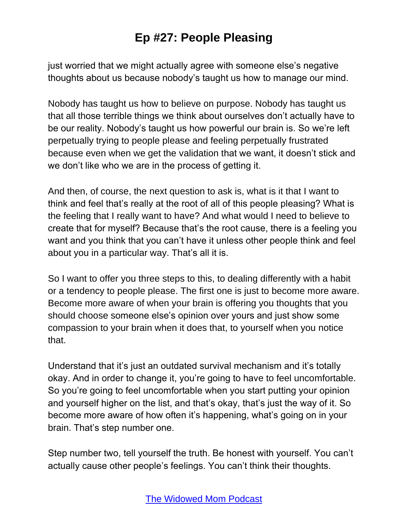just worried that we might actually agree with someone else's negative thoughts about us because nobody's taught us how to manage our mind.

Nobody has taught us how to believe on purpose. Nobody has taught us that all those terrible things we think about ourselves don't actually have to be our reality. Nobody's taught us how powerful our brain is. So we're left perpetually trying to people please and feeling perpetually frustrated because even when we get the validation that we want, it doesn't stick and we don't like who we are in the process of getting it.

And then, of course, the next question to ask is, what is it that I want to think and feel that's really at the root of all of this people pleasing? What is the feeling that I really want to have? And what would I need to believe to create that for myself? Because that's the root cause, there is a feeling you want and you think that you can't have it unless other people think and feel about you in a particular way. That's all it is.

So I want to offer you three steps to this, to dealing differently with a habit or a tendency to people please. The first one is just to become more aware. Become more aware of when your brain is offering you thoughts that you should choose someone else's opinion over yours and just show some compassion to your brain when it does that, to yourself when you notice that.

Understand that it's just an outdated survival mechanism and it's totally okay. And in order to change it, you're going to have to feel uncomfortable. So you're going to feel uncomfortable when you start putting your opinion and yourself higher on the list, and that's okay, that's just the way of it. So become more aware of how often it's happening, what's going on in your brain. That's step number one.

Step number two, tell yourself the truth. Be honest with yourself. You can't actually cause other people's feelings. You can't think their thoughts.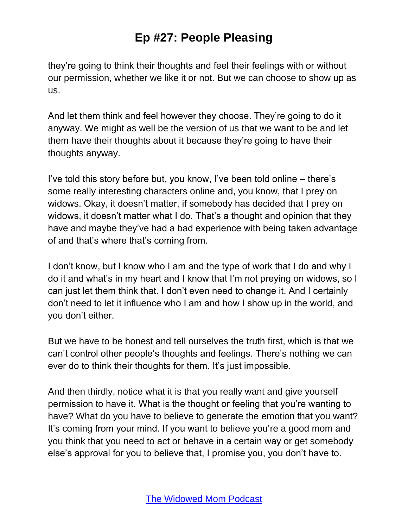they're going to think their thoughts and feel their feelings with or without our permission, whether we like it or not. But we can choose to show up as us.

And let them think and feel however they choose. They're going to do it anyway. We might as well be the version of us that we want to be and let them have their thoughts about it because they're going to have their thoughts anyway.

I've told this story before but, you know, I've been told online – there's some really interesting characters online and, you know, that I prey on widows. Okay, it doesn't matter, if somebody has decided that I prey on widows, it doesn't matter what I do. That's a thought and opinion that they have and maybe they've had a bad experience with being taken advantage of and that's where that's coming from.

I don't know, but I know who I am and the type of work that I do and why I do it and what's in my heart and I know that I'm not preying on widows, so I can just let them think that. I don't even need to change it. And I certainly don't need to let it influence who I am and how I show up in the world, and you don't either.

But we have to be honest and tell ourselves the truth first, which is that we can't control other people's thoughts and feelings. There's nothing we can ever do to think their thoughts for them. It's just impossible.

And then thirdly, notice what it is that you really want and give yourself permission to have it. What is the thought or feeling that you're wanting to have? What do you have to believe to generate the emotion that you want? It's coming from your mind. If you want to believe you're a good mom and you think that you need to act or behave in a certain way or get somebody else's approval for you to believe that, I promise you, you don't have to.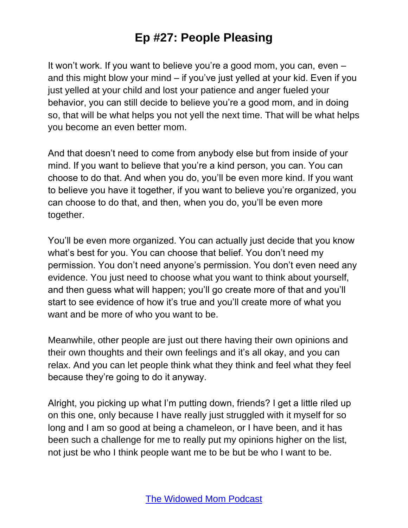It won't work. If you want to believe you're a good mom, you can, even – and this might blow your mind – if you've just yelled at your kid. Even if you just yelled at your child and lost your patience and anger fueled your behavior, you can still decide to believe you're a good mom, and in doing so, that will be what helps you not yell the next time. That will be what helps you become an even better mom.

And that doesn't need to come from anybody else but from inside of your mind. If you want to believe that you're a kind person, you can. You can choose to do that. And when you do, you'll be even more kind. If you want to believe you have it together, if you want to believe you're organized, you can choose to do that, and then, when you do, you'll be even more together.

You'll be even more organized. You can actually just decide that you know what's best for you. You can choose that belief. You don't need my permission. You don't need anyone's permission. You don't even need any evidence. You just need to choose what you want to think about yourself, and then guess what will happen; you'll go create more of that and you'll start to see evidence of how it's true and you'll create more of what you want and be more of who you want to be.

Meanwhile, other people are just out there having their own opinions and their own thoughts and their own feelings and it's all okay, and you can relax. And you can let people think what they think and feel what they feel because they're going to do it anyway.

Alright, you picking up what I'm putting down, friends? I get a little riled up on this one, only because I have really just struggled with it myself for so long and I am so good at being a chameleon, or I have been, and it has been such a challenge for me to really put my opinions higher on the list, not just be who I think people want me to be but be who I want to be.